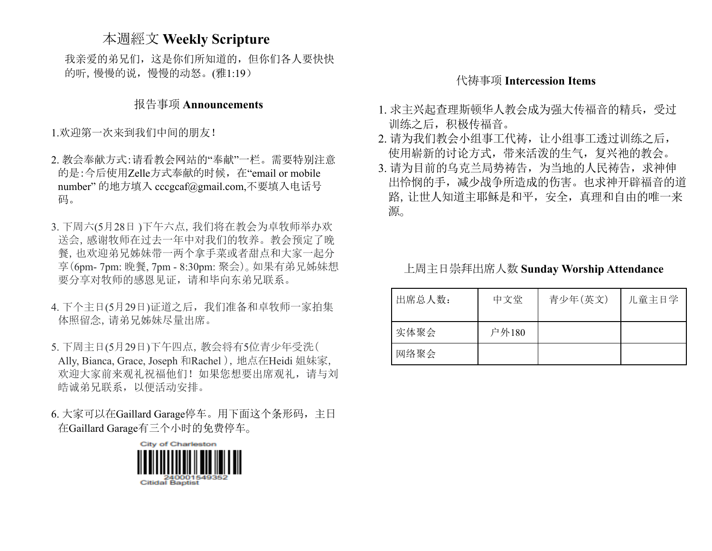## 本週經文 **Weekly Scripture**

我亲爱的弟兄们,这是你们所知道的,但你们各人要快快 的听,慢慢的说,慢慢的动怒。(雅1:19)

#### 报告事项 **Announcements**

1.欢迎第一次来到我们中间的朋友!

- 2. 教会奉献方式:请看教会网站的"奉献"一栏。需要特别注意 的是:今后使用Zelle方式奉献的时候,在"email or mobile number" 的地方填入 [cccgcaf@gmail.com](mailto:cccgcaf@gmail.com),不要填入电话号 码。
- 3. 下周六(5月28日 )下午六点,我们将在教会为卓牧师举办欢 送会,感谢牧师在过去一年中对我们的牧养。教会预定了晚 餐,也欢迎弟兄姊妹带一两个拿手菜或者甜点和大家一起分 享(6pm- 7pm: 晚餐, 7pm - 8:30pm: 聚会)。如果有弟兄姊妹想 要分享对牧师的感恩见证,请和毕向东弟兄联系。
- 4. 下个主日(5月29日)证道之后,我们准备和卓牧师一家拍集 体照留念,请弟兄姊妹尽量出席。
- 5. 下周主日(5月29日)下午四点,教会将有5位青少年受洗( Ally, Bianca, Grace, Joseph 和Rachel), 地点在Heidi 姐妹家, 欢迎大家前来观礼祝福他们!如果您想要出席观礼,请与刘 皓诚弟兄联系,以便活动安排。

6. 大家可以在Gaillard Garage停车。用下面这个条形码,主日 在Gaillard Garage有三个小时的免费停车。



#### 代祷事项 **Intercession Items**

- 1. 求主兴起查理斯顿华人教会成为强大传福音的精兵,受过 训练之后,积极传福音。
- 2. 请为我们教会小组事工代祷, 让小组事工透过训练之后, 使用崭新的讨论方式,带来活泼的生气,复兴祂的教会。
- 3. 请为目前的乌克兰局势祷告,为当地的人民祷告,求神伸 出怜悯的手,减少战争所造成的伤害。也求神开辟福音的道 路,让世人知道主耶稣是和平,安全,真理和自由的唯一来 源。

上周主日崇拜出席人数 **Sunday Worship Attendance**

| 出席总人数: | 中文堂   | 青少年(英文) | 儿童主日学 |
|--------|-------|---------|-------|
| 实体聚会   | 户外180 |         |       |
| 网络聚会   |       |         |       |